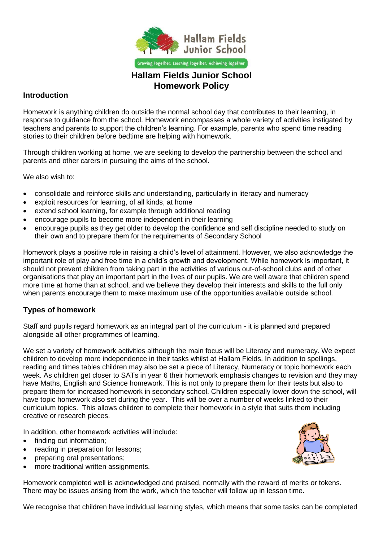

# **Homework Policy**

## **Introduction**

Homework is anything children do outside the normal school day that contributes to their learning, in response to guidance from the school. Homework encompasses a whole variety of activities instigated by teachers and parents to support the children's learning. For example, parents who spend time reading stories to their children before bedtime are helping with homework.

Through children working at home, we are seeking to develop the partnership between the school and parents and other carers in pursuing the aims of the school.

We also wish to:

- consolidate and reinforce skills and understanding, particularly in literacy and numeracy
- exploit resources for learning, of all kinds, at home
- extend school learning, for example through additional reading
- encourage pupils to become more independent in their learning
- encourage pupils as they get older to develop the confidence and self discipline needed to study on their own and to prepare them for the requirements of Secondary School

Homework plays a positive role in raising a child's level of attainment. However, we also acknowledge the important role of play and free time in a child's growth and development. While homework is important, it should not prevent children from taking part in the activities of various out-of-school clubs and of other organisations that play an important part in the lives of our pupils. We are well aware that children spend more time at home than at school, and we believe they develop their interests and skills to the full only when parents encourage them to make maximum use of the opportunities available outside school.

# **Types of homework**

Staff and pupils regard homework as an integral part of the curriculum - it is planned and prepared alongside all other programmes of learning.

We set a variety of homework activities although the main focus will be Literacy and numeracy. We expect children to develop more independence in their tasks whilst at Hallam Fields. In addition to spellings, reading and times tables children may also be set a piece of Literacy, Numeracy or topic homework each week. As children get closer to SATs in year 6 their homework emphasis changes to revision and they may have Maths, English and Science homework. This is not only to prepare them for their tests but also to prepare them for increased homework in secondary school. Children especially lower down the school, will have topic homework also set during the year. This will be over a number of weeks linked to their curriculum topics. This allows children to complete their homework in a style that suits them including creative or research pieces.

In addition, other homework activities will include:

- finding out information;
- reading in preparation for lessons;
- preparing oral presentations;
- more traditional written assignments.

Homework completed well is acknowledged and praised, normally with the reward of merits or tokens. There may be issues arising from the work, which the teacher will follow up in lesson time.

We recognise that children have individual learning styles, which means that some tasks can be completed